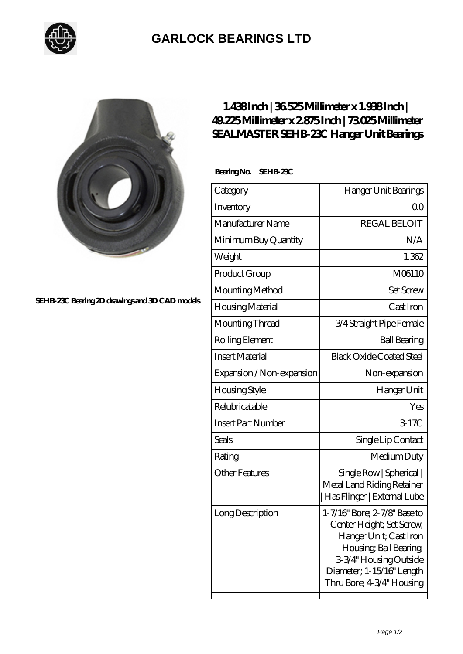

## **[GARLOCK BEARINGS LTD](https://m.letterstopriests.com)**



**[SEHB-23C Bearing 2D drawings and 3D CAD models](https://m.letterstopriests.com/pic-189033.html)**

## **[1.438 Inch | 36.525 Millimeter x 1.938 Inch |](https://m.letterstopriests.com/au-189033-sealmaster-sehb-23c-hanger-unit-bearings.html) [49.225 Millimeter x 2.875 Inch | 73.025 Millimeter](https://m.letterstopriests.com/au-189033-sealmaster-sehb-23c-hanger-unit-bearings.html) [SEALMASTER SEHB-23C Hanger Unit Bearings](https://m.letterstopriests.com/au-189033-sealmaster-sehb-23c-hanger-unit-bearings.html)**

 **Bearing No. SEHB-23C**

| Category                  | Hanger Unit Bearings                                                                                                                                                                              |
|---------------------------|---------------------------------------------------------------------------------------------------------------------------------------------------------------------------------------------------|
| Inventory                 | 00                                                                                                                                                                                                |
| Manufacturer Name         | <b>REGAL BELOIT</b>                                                                                                                                                                               |
| Minimum Buy Quantity      | N/A                                                                                                                                                                                               |
| Weight                    | 1.362                                                                                                                                                                                             |
| Product Group             | M06110                                                                                                                                                                                            |
| Mounting Method           | <b>Set Screw</b>                                                                                                                                                                                  |
| Housing Material          | Cast Iron                                                                                                                                                                                         |
| Mounting Thread           | 3/4 Straight Pipe Female                                                                                                                                                                          |
| Rolling Element           | <b>Ball Bearing</b>                                                                                                                                                                               |
| <b>Insert Material</b>    | <b>Black Oxide Coated Steel</b>                                                                                                                                                                   |
| Expansion / Non-expansion | Non-expansion                                                                                                                                                                                     |
| Housing Style             | Hanger Unit                                                                                                                                                                                       |
| Relubricatable            | Yes                                                                                                                                                                                               |
| <b>Insert Part Number</b> | 3.17C                                                                                                                                                                                             |
| <b>Seals</b>              | Single Lip Contact                                                                                                                                                                                |
| Rating                    | Medium Duty                                                                                                                                                                                       |
| <b>Other Features</b>     | Single Row   Spherical  <br>Metal Land Riding Retainer<br>Has Flinger   External Lube                                                                                                             |
| Long Description          | 1-7/16" Bore; 2-7/8" Base to<br>Center Height; Set Screw,<br>Hanger Unit; Cast Iron<br>Housing, Ball Bearing,<br>3-3/4" Housing Outside<br>Diameter; 1-15/16" Length<br>Thru Bore; 4-3/4" Housing |